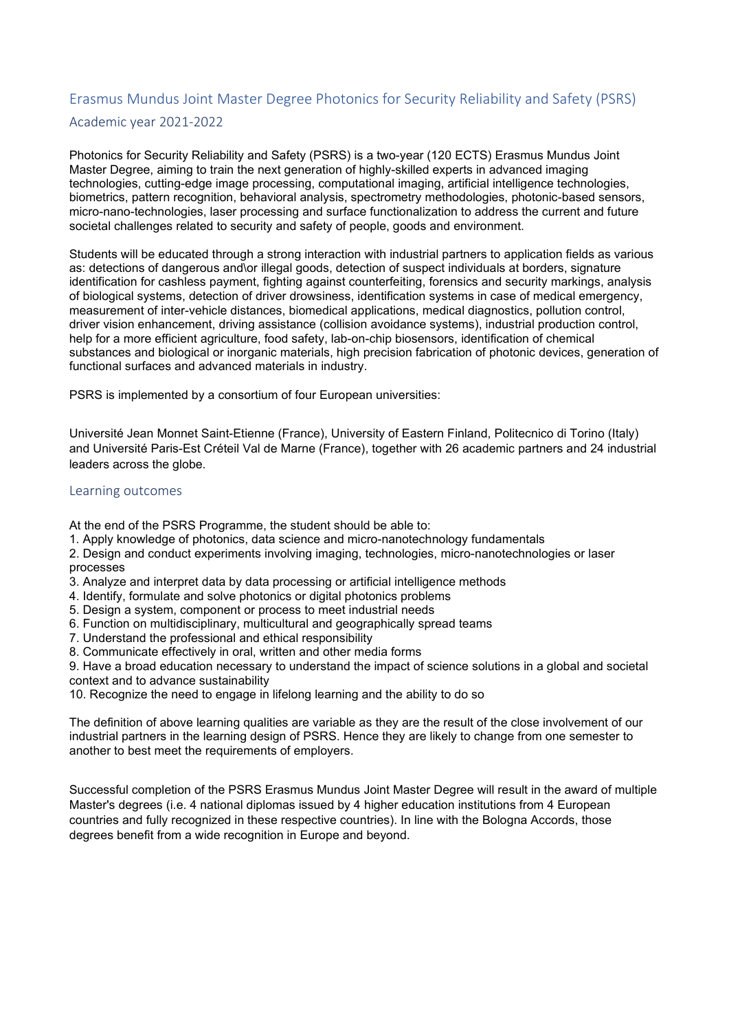## Erasmus Mundus Joint Master Degree Photonics for Security Reliability and Safety (PSRS) Academic year 2021-2022

Photonics for Security Reliability and Safety (PSRS) is a two-year (120 ECTS) Erasmus Mundus Joint Master Degree, aiming to train the next generation of highly-skilled experts in advanced imaging technologies, cutting-edge image processing, computational imaging, artificial intelligence technologies, biometrics, pattern recognition, behavioral analysis, spectrometry methodologies, photonic-based sensors, micro-nano-technologies, laser processing and surface functionalization to address the current and future societal challenges related to security and safety of people, goods and environment.

Students will be educated through a strong interaction with industrial partners to application fields as various as: detections of dangerous and\or illegal goods, detection of suspect individuals at borders, signature identification for cashless payment, fighting against counterfeiting, forensics and security markings, analysis of biological systems, detection of driver drowsiness, identification systems in case of medical emergency, measurement of inter-vehicle distances, biomedical applications, medical diagnostics, pollution control, driver vision enhancement, driving assistance (collision avoidance systems), industrial production control, help for a more efficient agriculture, food safety, lab-on-chip biosensors, identification of chemical substances and biological or inorganic materials, high precision fabrication of photonic devices, generation of functional surfaces and advanced materials in industry.

PSRS is implemented by a consortium of four European universities:

Université Jean Monnet Saint-Etienne (France), University of Eastern Finland, Politecnico di Torino (Italy) and Université Paris-Est Créteil Val de Marne (France), together with 26 academic partners and 24 industrial leaders across the globe.

## Learning outcomes

At the end of the PSRS Programme, the student should be able to:

1. Apply knowledge of photonics, data science and micro-nanotechnology fundamentals

2. Design and conduct experiments involving imaging, technologies, micro-nanotechnologies or laser processes

- 3. Analyze and interpret data by data processing or artificial intelligence methods
- 4. Identify, formulate and solve photonics or digital photonics problems
- 5. Design a system, component or process to meet industrial needs
- 6. Function on multidisciplinary, multicultural and geographically spread teams
- 7. Understand the professional and ethical responsibility
- 8. Communicate effectively in oral, written and other media forms

9. Have a broad education necessary to understand the impact of science solutions in a global and societal context and to advance sustainability

10. Recognize the need to engage in lifelong learning and the ability to do so

The definition of above learning qualities are variable as they are the result of the close involvement of our industrial partners in the learning design of PSRS. Hence they are likely to change from one semester to another to best meet the requirements of employers.

Successful completion of the PSRS Erasmus Mundus Joint Master Degree will result in the award of multiple Master's degrees (i.e. 4 national diplomas issued by 4 higher education institutions from 4 European countries and fully recognized in these respective countries). In line with the Bologna Accords, those degrees benefit from a wide recognition in Europe and beyond.